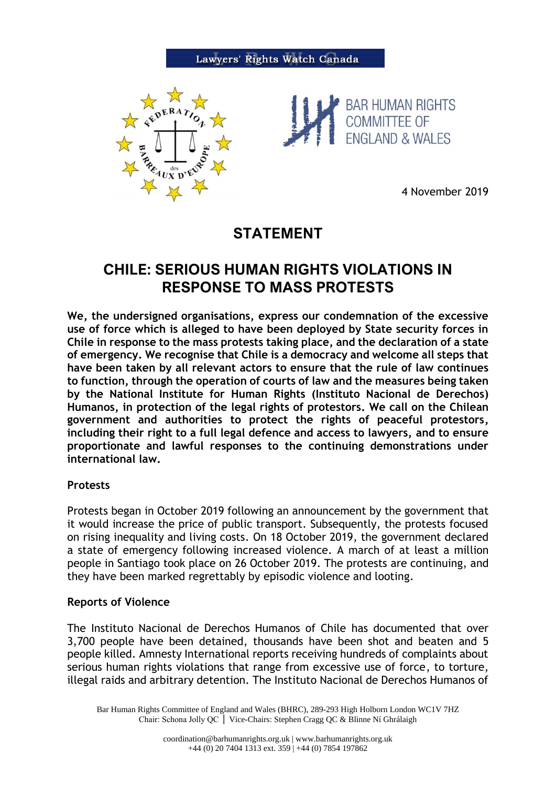



4 November 2019

# **STATEMENT**

# **CHILE: SERIOUS HUMAN RIGHTS VIOLATIONS IN RESPONSE TO MASS PROTESTS**

**We, the undersigned organisations, express our condemnation of the excessive use of force which is alleged to have been deployed by State security forces in Chile in response to the mass protests taking place, and the declaration of a state of emergency. We recognise that Chile is a democracy and welcome all steps that have been taken by all relevant actors to ensure that the rule of law continues to function, through the operation of courts of law and the measures being taken by the National Institute for Human Rights (Instituto Nacional de Derechos) Humanos, in protection of the legal rights of protestors. We call on the Chilean government and authorities to protect the rights of peaceful protestors, including their right to a full legal defence and access to lawyers, and to ensure proportionate and lawful responses to the continuing demonstrations under international law.**

## **Protests**

Protests began in October 2019 following an announcement by the government that it would increase the price of public transport. Subsequently, the protests focused on rising inequality and living costs. On 18 October 2019, the government declared a state of emergency following increased violence. A march of at least a million people in Santiago took place on 26 October 2019. The protests are continuing, and they have been marked regrettably by episodic violence and looting.

## **Reports of Violence**

The Instituto Nacional de Derechos Humanos of Chile has documented that over 3,700 people have been detained, thousands have been shot and beaten and 5 people killed. Amnesty International reports receiving hundreds of complaints about serious human rights violations that range from excessive use of force, to torture, illegal raids and arbitrary detention. The Instituto Nacional de Derechos Humanos of

Bar Human Rights Committee of England and Wales (BHRC), 289-293 High Holborn London WC1V 7HZ Chair: Schona Jolly QC │ Vice-Chairs: Stephen Cragg QC & Blinne Ní Ghrálaigh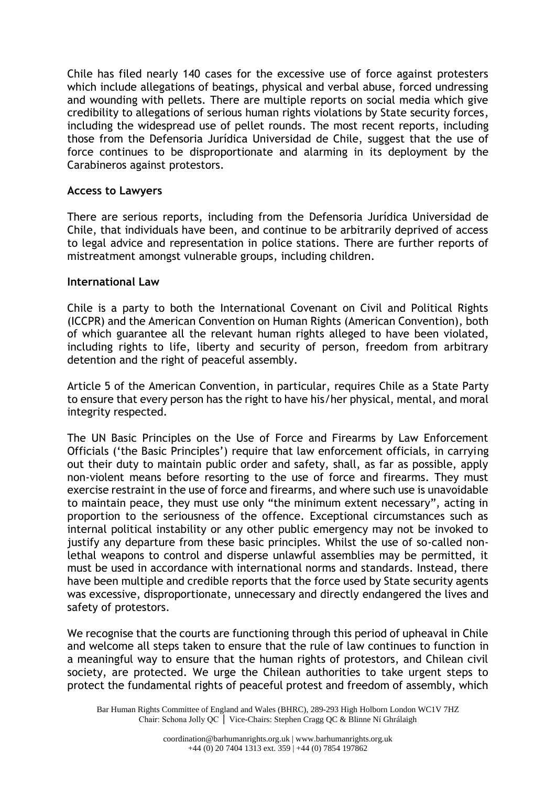Chile has filed nearly 140 cases for the excessive use of force against protesters which include allegations of beatings, physical and verbal abuse, forced undressing and wounding with pellets. There are multiple reports on social media which give credibility to allegations of serious human rights violations by State security forces, including the widespread use of pellet rounds. The most recent reports, including those from the Defensoria Jurídica Universidad de Chile, suggest that the use of force continues to be disproportionate and alarming in its deployment by the Carabineros against protestors.

## **Access to Lawyers**

There are serious reports, including from the Defensoria Jurídica Universidad de Chile, that individuals have been, and continue to be arbitrarily deprived of access to legal advice and representation in police stations. There are further reports of mistreatment amongst vulnerable groups, including children.

#### **International Law**

Chile is a party to both the International Covenant on Civil and Political Rights (ICCPR) and the American Convention on Human Rights (American Convention), both of which guarantee all the relevant human rights alleged to have been violated, including rights to life, liberty and security of person, freedom from arbitrary detention and the right of peaceful assembly.

Article 5 of the American Convention, in particular, requires Chile as a State Party to ensure that every person has the right to have his/her physical, mental, and moral integrity respected.

The UN Basic Principles on the Use of Force and Firearms by Law Enforcement Officials ('the Basic Principles') require that law enforcement officials, in carrying out their duty to maintain public order and safety, shall, as far as possible, apply non-violent means before resorting to the use of force and firearms. They must exercise restraint in the use of force and firearms, and where such use is unavoidable to maintain peace, they must use only "the minimum extent necessary", acting in proportion to the seriousness of the offence. Exceptional circumstances such as internal political instability or any other public emergency may not be invoked to justify any departure from these basic principles. Whilst the use of so-called nonlethal weapons to control and disperse unlawful assemblies may be permitted, it must be used in accordance with international norms and standards. Instead, there have been multiple and credible reports that the force used by State security agents was excessive, disproportionate, unnecessary and directly endangered the lives and safety of protestors.

We recognise that the courts are functioning through this period of upheaval in Chile and welcome all steps taken to ensure that the rule of law continues to function in a meaningful way to ensure that the human rights of protestors, and Chilean civil society, are protected. We urge the Chilean authorities to take urgent steps to protect the fundamental rights of peaceful protest and freedom of assembly, which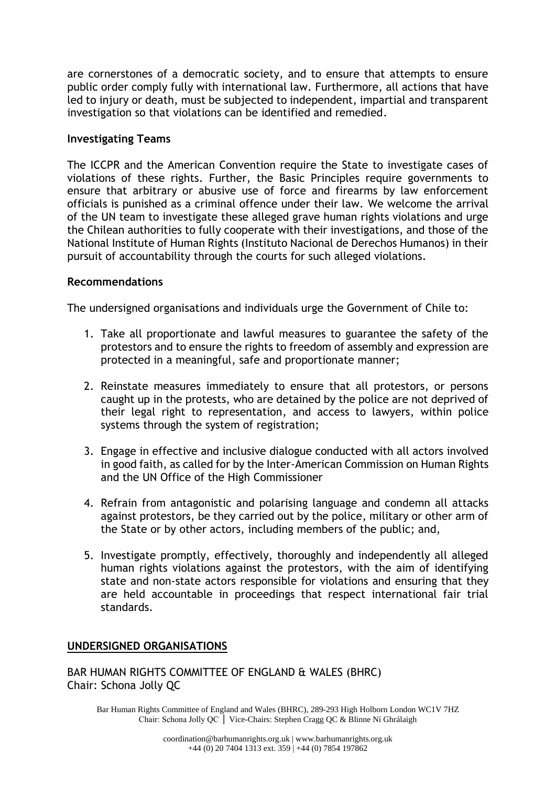are cornerstones of a democratic society, and to ensure that attempts to ensure public order comply fully with international law. Furthermore, all actions that have led to injury or death, must be subjected to independent, impartial and transparent investigation so that violations can be identified and remedied.

#### **Investigating Teams**

The ICCPR and the American Convention require the State to investigate cases of violations of these rights. Further, the Basic Principles require governments to ensure that arbitrary or abusive use of force and firearms by law enforcement officials is punished as a criminal offence under their law. We welcome the arrival of the UN team to investigate these alleged grave human rights violations and urge the Chilean authorities to fully cooperate with their investigations, and those of the National Institute of Human Rights (Instituto Nacional de Derechos Humanos) in their pursuit of accountability through the courts for such alleged violations.

#### **Recommendations**

The undersigned organisations and individuals urge the Government of Chile to:

- 1. Take all proportionate and lawful measures to guarantee the safety of the protestors and to ensure the rights to freedom of assembly and expression are protected in a meaningful, safe and proportionate manner;
- 2. Reinstate measures immediately to ensure that all protestors, or persons caught up in the protests, who are detained by the police are not deprived of their legal right to representation, and access to lawyers, within police systems through the system of registration;
- 3. Engage in effective and inclusive dialogue conducted with all actors involved in good faith, as called for by the Inter-American Commission on Human Rights and the UN Office of the High Commissioner
- 4. Refrain from antagonistic and polarising language and condemn all attacks against protestors, be they carried out by the police, military or other arm of the State or by other actors, including members of the public; and,
- 5. Investigate promptly, effectively, thoroughly and independently all alleged human rights violations against the protestors, with the aim of identifying state and non-state actors responsible for violations and ensuring that they are held accountable in proceedings that respect international fair trial standards.

## **UNDERSIGNED ORGANISATIONS**

BAR HUMAN RIGHTS COMMITTEE OF ENGLAND & WALES (BHRC) Chair: Schona Jolly QC

Bar Human Rights Committee of England and Wales (BHRC), 289-293 High Holborn London WC1V 7HZ Chair: Schona Jolly QC │ Vice-Chairs: Stephen Cragg QC & Blinne Ní Ghrálaigh